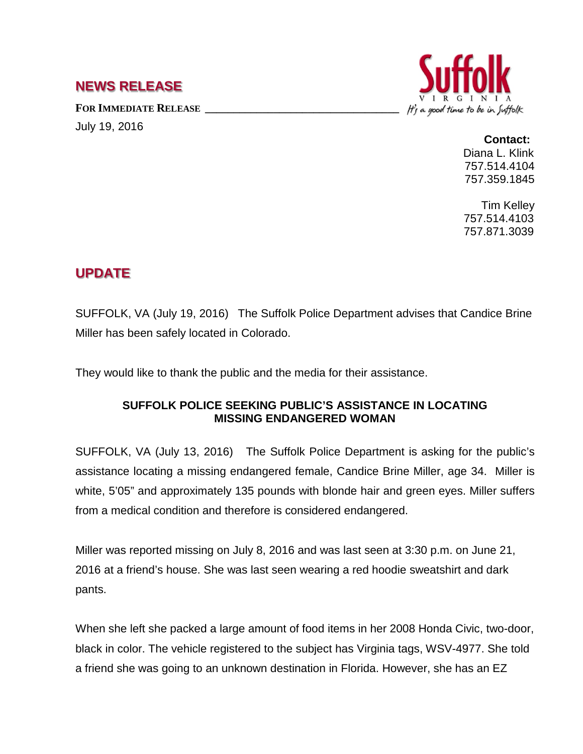## **NEWS RELEASE**

FOR IMMEDIATE RELEASE

July 19, 2016



## **Contact:** Diana L. Klink 757.514.4104 757.359.1845

Tim Kelley 757.514.4103 757.871.3039

## **UPDATE**

SUFFOLK, VA (July 19, 2016) The Suffolk Police Department advises that Candice Brine Miller has been safely located in Colorado.

They would like to thank the public and the media for their assistance.

## **SUFFOLK POLICE SEEKING PUBLIC'S ASSISTANCE IN LOCATING MISSING ENDANGERED WOMAN**

SUFFOLK, VA (July 13, 2016) The Suffolk Police Department is asking for the public's assistance locating a missing endangered female, Candice Brine Miller, age 34. Miller is white, 5'05" and approximately 135 pounds with blonde hair and green eyes. Miller suffers from a medical condition and therefore is considered endangered.

Miller was reported missing on July 8, 2016 and was last seen at 3:30 p.m. on June 21, 2016 at a friend's house. She was last seen wearing a red hoodie sweatshirt and dark pants.

When she left she packed a large amount of food items in her 2008 Honda Civic, two-door, black in color. The vehicle registered to the subject has Virginia tags, WSV-4977. She told a friend she was going to an unknown destination in Florida. However, she has an EZ